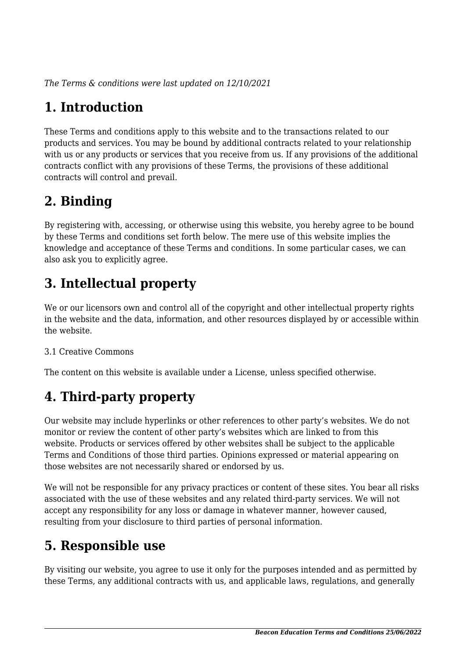*The Terms & conditions were last updated on 12/10/2021*

# **1. Introduction**

These Terms and conditions apply to this website and to the transactions related to our products and services. You may be bound by additional contracts related to your relationship with us or any products or services that you receive from us. If any provisions of the additional contracts conflict with any provisions of these Terms, the provisions of these additional contracts will control and prevail.

## **2. Binding**

By registering with, accessing, or otherwise using this website, you hereby agree to be bound by these Terms and conditions set forth below. The mere use of this website implies the knowledge and acceptance of these Terms and conditions. In some particular cases, we can also ask you to explicitly agree.

# **3. Intellectual property**

We or our licensors own and control all of the copyright and other intellectual property rights in the website and the data, information, and other resources displayed by or accessible within the website.

#### 3.1 Creative Commons

The content on this website is available under a License, unless specified otherwise.

# **4. Third-party property**

Our website may include hyperlinks or other references to other party's websites. We do not monitor or review the content of other party's websites which are linked to from this website. Products or services offered by other websites shall be subject to the applicable Terms and Conditions of those third parties. Opinions expressed or material appearing on those websites are not necessarily shared or endorsed by us.

We will not be responsible for any privacy practices or content of these sites. You bear all risks associated with the use of these websites and any related third-party services. We will not accept any responsibility for any loss or damage in whatever manner, however caused, resulting from your disclosure to third parties of personal information.

# **5. Responsible use**

By visiting our website, you agree to use it only for the purposes intended and as permitted by these Terms, any additional contracts with us, and applicable laws, regulations, and generally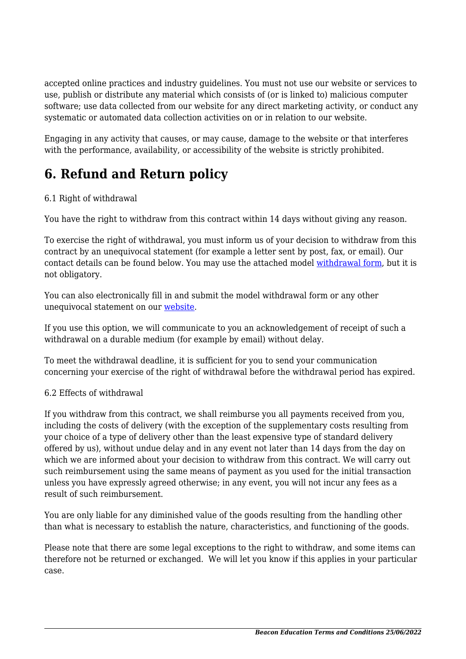accepted online practices and industry guidelines. You must not use our website or services to use, publish or distribute any material which consists of (or is linked to) malicious computer software; use data collected from our website for any direct marketing activity, or conduct any systematic or automated data collection activities on or in relation to our website.

Engaging in any activity that causes, or may cause, damage to the website or that interferes with the performance, availability, or accessibility of the website is strictly prohibited.

## **6. Refund and Return policy**

#### 6.1 Right of withdrawal

You have the right to withdraw from this contract within 14 days without giving any reason.

To exercise the right of withdrawal, you must inform us of your decision to withdraw from this contract by an unequivocal statement (for example a letter sent by post, fax, or email). Our contact details can be found below. You may use the attached model [withdrawal form](https://beacon.education/wp-content/uploads/complianz/withdrawal-forms/withdrawal-form-en.pdf), but it is not obligatory.

You can also electronically fill in and submit the model withdrawal form or any other unequivocal statement on our [website](https://beacon.education/contact/).

If you use this option, we will communicate to you an acknowledgement of receipt of such a withdrawal on a durable medium (for example by email) without delay.

To meet the withdrawal deadline, it is sufficient for you to send your communication concerning your exercise of the right of withdrawal before the withdrawal period has expired.

#### 6.2 Effects of withdrawal

If you withdraw from this contract, we shall reimburse you all payments received from you, including the costs of delivery (with the exception of the supplementary costs resulting from your choice of a type of delivery other than the least expensive type of standard delivery offered by us), without undue delay and in any event not later than 14 days from the day on which we are informed about your decision to withdraw from this contract. We will carry out such reimbursement using the same means of payment as you used for the initial transaction unless you have expressly agreed otherwise; in any event, you will not incur any fees as a result of such reimbursement.

You are only liable for any diminished value of the goods resulting from the handling other than what is necessary to establish the nature, characteristics, and functioning of the goods.

Please note that there are some legal exceptions to the right to withdraw, and some items can therefore not be returned or exchanged. We will let you know if this applies in your particular case.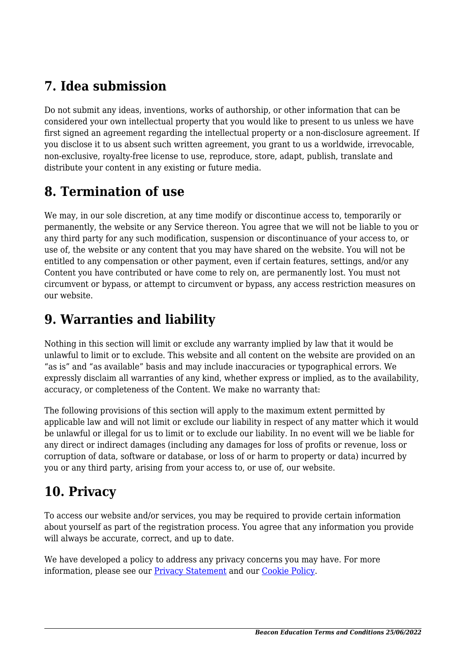## **7. Idea submission**

Do not submit any ideas, inventions, works of authorship, or other information that can be considered your own intellectual property that you would like to present to us unless we have first signed an agreement regarding the intellectual property or a non-disclosure agreement. If you disclose it to us absent such written agreement, you grant to us a worldwide, irrevocable, non-exclusive, royalty-free license to use, reproduce, store, adapt, publish, translate and distribute your content in any existing or future media.

## **8. Termination of use**

We may, in our sole discretion, at any time modify or discontinue access to, temporarily or permanently, the website or any Service thereon. You agree that we will not be liable to you or any third party for any such modification, suspension or discontinuance of your access to, or use of, the website or any content that you may have shared on the website. You will not be entitled to any compensation or other payment, even if certain features, settings, and/or any Content you have contributed or have come to rely on, are permanently lost. You must not circumvent or bypass, or attempt to circumvent or bypass, any access restriction measures on our website.

## **9. Warranties and liability**

Nothing in this section will limit or exclude any warranty implied by law that it would be unlawful to limit or to exclude. This website and all content on the website are provided on an "as is" and "as available" basis and may include inaccuracies or typographical errors. We expressly disclaim all warranties of any kind, whether express or implied, as to the availability, accuracy, or completeness of the Content. We make no warranty that:

The following provisions of this section will apply to the maximum extent permitted by applicable law and will not limit or exclude our liability in respect of any matter which it would be unlawful or illegal for us to limit or to exclude our liability. In no event will we be liable for any direct or indirect damages (including any damages for loss of profits or revenue, loss or corruption of data, software or database, or loss of or harm to property or data) incurred by you or any third party, arising from your access to, or use of, our website.

# **10. Privacy**

To access our website and/or services, you may be required to provide certain information about yourself as part of the registration process. You agree that any information you provide will always be accurate, correct, and up to date.

We have developed a policy to address any privacy concerns you may have. For more information, please see our [Privacy Statement](https://beacon.education/privacy/?cmplz_region_redirect=true) and our [Cookie Policy](#page--1-0).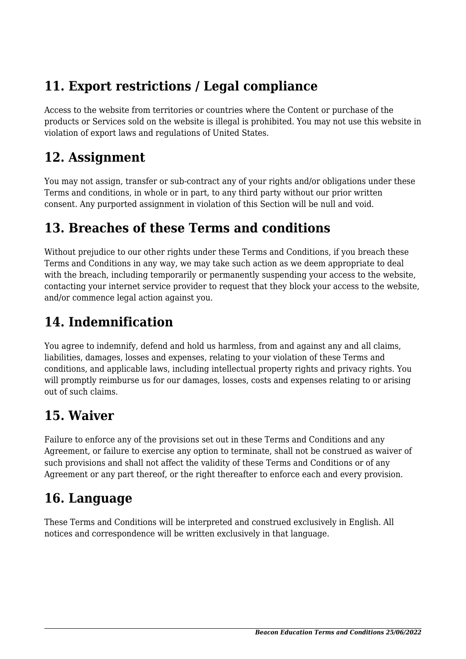## **11. Export restrictions / Legal compliance**

Access to the website from territories or countries where the Content or purchase of the products or Services sold on the website is illegal is prohibited. You may not use this website in violation of export laws and regulations of United States.

#### **12. Assignment**

You may not assign, transfer or sub-contract any of your rights and/or obligations under these Terms and conditions, in whole or in part, to any third party without our prior written consent. Any purported assignment in violation of this Section will be null and void.

### **13. Breaches of these Terms and conditions**

Without prejudice to our other rights under these Terms and Conditions, if you breach these Terms and Conditions in any way, we may take such action as we deem appropriate to deal with the breach, including temporarily or permanently suspending your access to the website, contacting your internet service provider to request that they block your access to the website, and/or commence legal action against you.

## **14. Indemnification**

You agree to indemnify, defend and hold us harmless, from and against any and all claims, liabilities, damages, losses and expenses, relating to your violation of these Terms and conditions, and applicable laws, including intellectual property rights and privacy rights. You will promptly reimburse us for our damages, losses, costs and expenses relating to or arising out of such claims.

## **15. Waiver**

Failure to enforce any of the provisions set out in these Terms and Conditions and any Agreement, or failure to exercise any option to terminate, shall not be construed as waiver of such provisions and shall not affect the validity of these Terms and Conditions or of any Agreement or any part thereof, or the right thereafter to enforce each and every provision.

## **16. Language**

These Terms and Conditions will be interpreted and construed exclusively in English. All notices and correspondence will be written exclusively in that language.